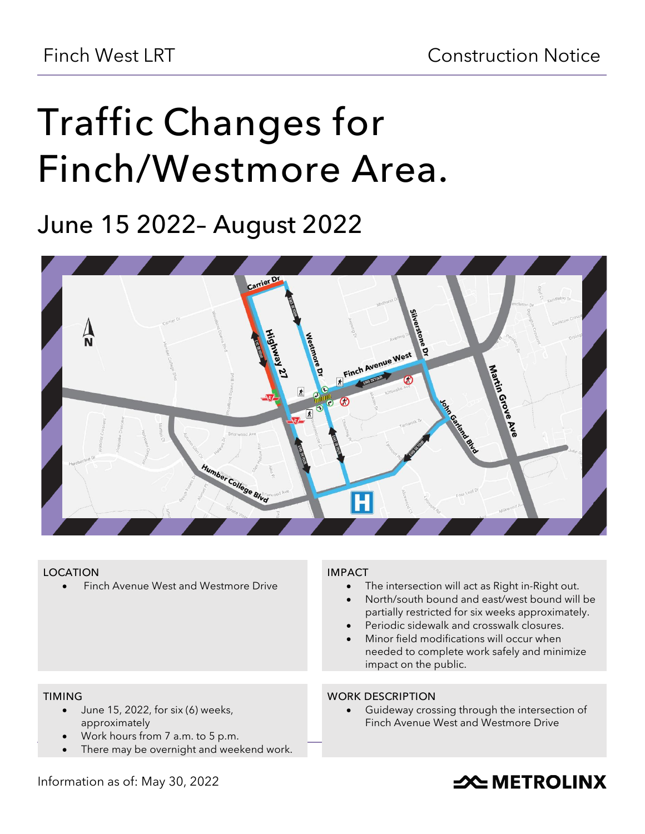# **Traffic Changes for Finch/Westmore Area.**

**June 15 2022– August 2022**



# **LOCATION**

• Finch Avenue West and Westmore Drive

# **IMPACT**

- The intersection will act as Right in-Right out.
- North/south bound and east/west bound will be partially restricted for six weeks approximately.
- Periodic sidewalk and crosswalk closures.
- Minor field modifications will occur when needed to complete work safely and minimize impact on the public.

#### **TIMING**

- June 15, 2022, for six (6) weeks, approximately
- Work hours from 7 a.m. to 5 p.m.
- There may be overnight and weekend work.

### **WORK DESCRIPTION**

Guideway crossing through the intersection of Finch Avenue West and Westmore Drive

# Information as of: May 30, 2022

# **SOUTHER THE METROLINX**